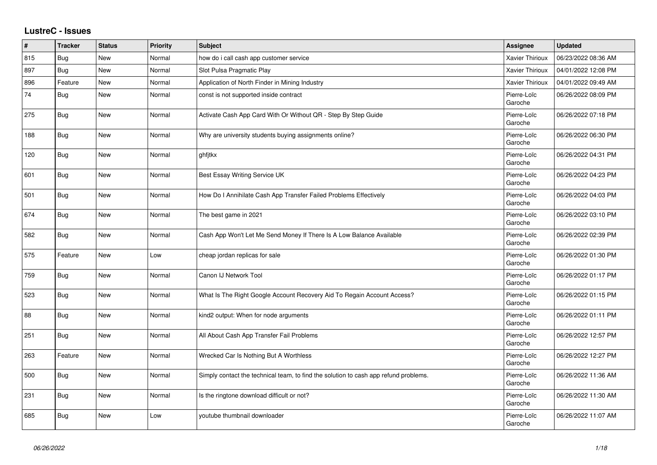## **LustreC - Issues**

| #   | <b>Tracker</b> | <b>Status</b> | <b>Priority</b> | <b>Subject</b>                                                                       | <b>Assignee</b>        | <b>Updated</b>      |
|-----|----------------|---------------|-----------------|--------------------------------------------------------------------------------------|------------------------|---------------------|
| 815 | <b>Bug</b>     | New           | Normal          | how do i call cash app customer service                                              | Xavier Thirioux        | 06/23/2022 08:36 AM |
| 897 | <b>Bug</b>     | <b>New</b>    | Normal          | Slot Pulsa Pragmatic Play                                                            | <b>Xavier Thirioux</b> | 04/01/2022 12:08 PM |
| 896 | Feature        | New           | Normal          | Application of North Finder in Mining Industry                                       | <b>Xavier Thirioux</b> | 04/01/2022 09:49 AM |
| 74  | <b>Bug</b>     | <b>New</b>    | Normal          | const is not supported inside contract                                               | Pierre-Loïc<br>Garoche | 06/26/2022 08:09 PM |
| 275 | <b>Bug</b>     | <b>New</b>    | Normal          | Activate Cash App Card With Or Without QR - Step By Step Guide                       | Pierre-Loïc<br>Garoche | 06/26/2022 07:18 PM |
| 188 | Bug            | <b>New</b>    | Normal          | Why are university students buying assignments online?                               | Pierre-Loïc<br>Garoche | 06/26/2022 06:30 PM |
| 120 | Bug            | New           | Normal          | ghfitkx                                                                              | Pierre-Loïc<br>Garoche | 06/26/2022 04:31 PM |
| 601 | <b>Bug</b>     | <b>New</b>    | Normal          | Best Essay Writing Service UK                                                        | Pierre-Loïc<br>Garoche | 06/26/2022 04:23 PM |
| 501 | <b>Bug</b>     | <b>New</b>    | Normal          | How Do I Annihilate Cash App Transfer Failed Problems Effectively                    | Pierre-Loïc<br>Garoche | 06/26/2022 04:03 PM |
| 674 | <b>Bug</b>     | <b>New</b>    | Normal          | The best game in 2021                                                                | Pierre-Loïc<br>Garoche | 06/26/2022 03:10 PM |
| 582 | <b>Bug</b>     | <b>New</b>    | Normal          | Cash App Won't Let Me Send Money If There Is A Low Balance Available                 | Pierre-Loïc<br>Garoche | 06/26/2022 02:39 PM |
| 575 | Feature        | <b>New</b>    | Low             | cheap jordan replicas for sale                                                       | Pierre-Loïc<br>Garoche | 06/26/2022 01:30 PM |
| 759 | <b>Bug</b>     | <b>New</b>    | Normal          | Canon IJ Network Tool                                                                | Pierre-Loïc<br>Garoche | 06/26/2022 01:17 PM |
| 523 | <b>Bug</b>     | New           | Normal          | What Is The Right Google Account Recovery Aid To Regain Account Access?              | Pierre-Loïc<br>Garoche | 06/26/2022 01:15 PM |
| 88  | <b>Bug</b>     | New           | Normal          | kind2 output: When for node arguments                                                | Pierre-Loïc<br>Garoche | 06/26/2022 01:11 PM |
| 251 | Bug            | <b>New</b>    | Normal          | All About Cash App Transfer Fail Problems                                            | Pierre-Loïc<br>Garoche | 06/26/2022 12:57 PM |
| 263 | Feature        | <b>New</b>    | Normal          | Wrecked Car Is Nothing But A Worthless                                               | Pierre-Loïc<br>Garoche | 06/26/2022 12:27 PM |
| 500 | <b>Bug</b>     | <b>New</b>    | Normal          | Simply contact the technical team, to find the solution to cash app refund problems. | Pierre-Loïc<br>Garoche | 06/26/2022 11:36 AM |
| 231 | Bug            | <b>New</b>    | Normal          | Is the ringtone download difficult or not?                                           | Pierre-Loïc<br>Garoche | 06/26/2022 11:30 AM |
| 685 | <b>Bug</b>     | <b>New</b>    | Low             | youtube thumbnail downloader                                                         | Pierre-Loïc<br>Garoche | 06/26/2022 11:07 AM |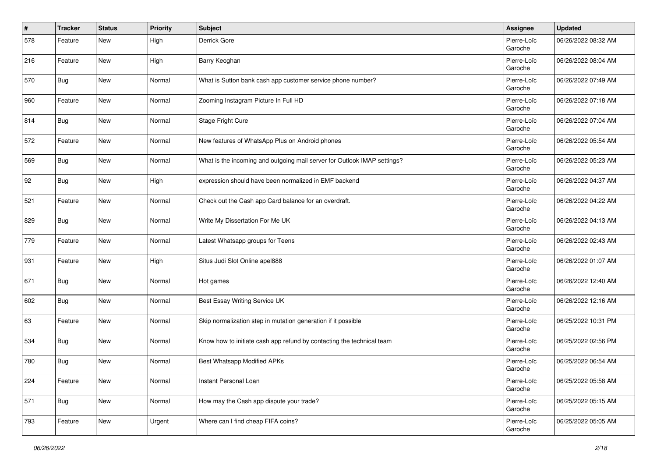| $\vert$ # | <b>Tracker</b> | <b>Status</b> | <b>Priority</b> | <b>Subject</b>                                                           | Assignee               | <b>Updated</b>      |
|-----------|----------------|---------------|-----------------|--------------------------------------------------------------------------|------------------------|---------------------|
| 578       | Feature        | New           | High            | Derrick Gore                                                             | Pierre-Loïc<br>Garoche | 06/26/2022 08:32 AM |
| 216       | Feature        | <b>New</b>    | High            | Barry Keoghan                                                            | Pierre-Loïc<br>Garoche | 06/26/2022 08:04 AM |
| 570       | Bug            | New           | Normal          | What is Sutton bank cash app customer service phone number?              | Pierre-Loïc<br>Garoche | 06/26/2022 07:49 AM |
| 960       | Feature        | New           | Normal          | Zooming Instagram Picture In Full HD                                     | Pierre-Loïc<br>Garoche | 06/26/2022 07:18 AM |
| 814       | Bug            | New           | Normal          | Stage Fright Cure                                                        | Pierre-Loïc<br>Garoche | 06/26/2022 07:04 AM |
| 572       | Feature        | New           | Normal          | New features of WhatsApp Plus on Android phones                          | Pierre-Loïc<br>Garoche | 06/26/2022 05:54 AM |
| 569       | Bug            | New           | Normal          | What is the incoming and outgoing mail server for Outlook IMAP settings? | Pierre-Loïc<br>Garoche | 06/26/2022 05:23 AM |
| 92        | <b>Bug</b>     | New           | High            | expression should have been normalized in EMF backend                    | Pierre-Loïc<br>Garoche | 06/26/2022 04:37 AM |
| 521       | Feature        | New           | Normal          | Check out the Cash app Card balance for an overdraft.                    | Pierre-Loïc<br>Garoche | 06/26/2022 04:22 AM |
| 829       | Bug            | New           | Normal          | Write My Dissertation For Me UK                                          | Pierre-Loïc<br>Garoche | 06/26/2022 04:13 AM |
| 779       | Feature        | New           | Normal          | Latest Whatsapp groups for Teens                                         | Pierre-Loïc<br>Garoche | 06/26/2022 02:43 AM |
| 931       | Feature        | New           | High            | Situs Judi Slot Online apel888                                           | Pierre-Loïc<br>Garoche | 06/26/2022 01:07 AM |
| 671       | Bug            | New           | Normal          | Hot games                                                                | Pierre-Loïc<br>Garoche | 06/26/2022 12:40 AM |
| 602       | <b>Bug</b>     | New           | Normal          | Best Essay Writing Service UK                                            | Pierre-Loïc<br>Garoche | 06/26/2022 12:16 AM |
| 63        | Feature        | New           | Normal          | Skip normalization step in mutation generation if it possible            | Pierre-Loïc<br>Garoche | 06/25/2022 10:31 PM |
| 534       | <b>Bug</b>     | New           | Normal          | Know how to initiate cash app refund by contacting the technical team    | Pierre-Loïc<br>Garoche | 06/25/2022 02:56 PM |
| 780       | <b>Bug</b>     | New           | Normal          | <b>Best Whatsapp Modified APKs</b>                                       | Pierre-Loïc<br>Garoche | 06/25/2022 06:54 AM |
| 224       | Feature        | New           | Normal          | Instant Personal Loan                                                    | Pierre-Loïc<br>Garoche | 06/25/2022 05:58 AM |
| 571       | <b>Bug</b>     | New           | Normal          | How may the Cash app dispute your trade?                                 | Pierre-Loïc<br>Garoche | 06/25/2022 05:15 AM |
| 793       | Feature        | New           | Urgent          | Where can I find cheap FIFA coins?                                       | Pierre-Loïc<br>Garoche | 06/25/2022 05:05 AM |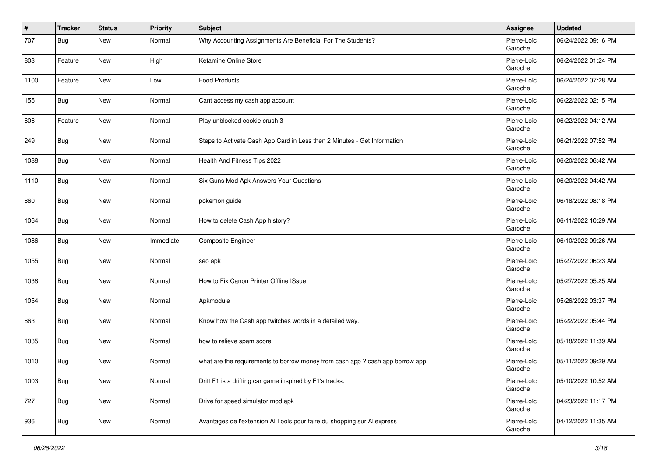| $\sharp$ | <b>Tracker</b> | <b>Status</b> | <b>Priority</b> | <b>Subject</b>                                                                | <b>Assignee</b>        | <b>Updated</b>      |
|----------|----------------|---------------|-----------------|-------------------------------------------------------------------------------|------------------------|---------------------|
| 707      | Bug            | New           | Normal          | Why Accounting Assignments Are Beneficial For The Students?                   | Pierre-Loïc<br>Garoche | 06/24/2022 09:16 PM |
| 803      | Feature        | <b>New</b>    | High            | Ketamine Online Store                                                         | Pierre-Loïc<br>Garoche | 06/24/2022 01:24 PM |
| 1100     | Feature        | New           | Low             | Food Products                                                                 | Pierre-Loïc<br>Garoche | 06/24/2022 07:28 AM |
| 155      | <b>Bug</b>     | New           | Normal          | Cant access my cash app account                                               | Pierre-Loïc<br>Garoche | 06/22/2022 02:15 PM |
| 606      | Feature        | New           | Normal          | Play unblocked cookie crush 3                                                 | Pierre-Loïc<br>Garoche | 06/22/2022 04:12 AM |
| 249      | <b>Bug</b>     | New           | Normal          | Steps to Activate Cash App Card in Less then 2 Minutes - Get Information      | Pierre-Loïc<br>Garoche | 06/21/2022 07:52 PM |
| 1088     | Bug            | New           | Normal          | Health And Fitness Tips 2022                                                  | Pierre-Loïc<br>Garoche | 06/20/2022 06:42 AM |
| 1110     | <b>Bug</b>     | New           | Normal          | Six Guns Mod Apk Answers Your Questions                                       | Pierre-Loïc<br>Garoche | 06/20/2022 04:42 AM |
| 860      | <b>Bug</b>     | <b>New</b>    | Normal          | pokemon guide                                                                 | Pierre-Loïc<br>Garoche | 06/18/2022 08:18 PM |
| 1064     | <b>Bug</b>     | New           | Normal          | How to delete Cash App history?                                               | Pierre-Loïc<br>Garoche | 06/11/2022 10:29 AM |
| 1086     | <b>Bug</b>     | New           | Immediate       | Composite Engineer                                                            | Pierre-Loïc<br>Garoche | 06/10/2022 09:26 AM |
| 1055     | <b>Bug</b>     | New           | Normal          | seo apk                                                                       | Pierre-Loïc<br>Garoche | 05/27/2022 06:23 AM |
| 1038     | <b>Bug</b>     | New           | Normal          | How to Fix Canon Printer Offline ISsue                                        | Pierre-Loïc<br>Garoche | 05/27/2022 05:25 AM |
| 1054     | <b>Bug</b>     | New           | Normal          | Apkmodule                                                                     | Pierre-Loïc<br>Garoche | 05/26/2022 03:37 PM |
| 663      | Bug            | New           | Normal          | Know how the Cash app twitches words in a detailed way.                       | Pierre-Loïc<br>Garoche | 05/22/2022 05:44 PM |
| 1035     | <b>Bug</b>     | New           | Normal          | how to relieve spam score                                                     | Pierre-Loïc<br>Garoche | 05/18/2022 11:39 AM |
| 1010     | Bug            | New           | Normal          | what are the requirements to borrow money from cash app ? cash app borrow app | Pierre-Loïc<br>Garoche | 05/11/2022 09:29 AM |
| 1003     | <b>Bug</b>     | New           | Normal          | Drift F1 is a drifting car game inspired by F1's tracks.                      | Pierre-Loïc<br>Garoche | 05/10/2022 10:52 AM |
| 727      | Bug            | New           | Normal          | Drive for speed simulator mod apk                                             | Pierre-Loïc<br>Garoche | 04/23/2022 11:17 PM |
| 936      | Bug            | New           | Normal          | Avantages de l'extension AliTools pour faire du shopping sur Aliexpress       | Pierre-Loïc<br>Garoche | 04/12/2022 11:35 AM |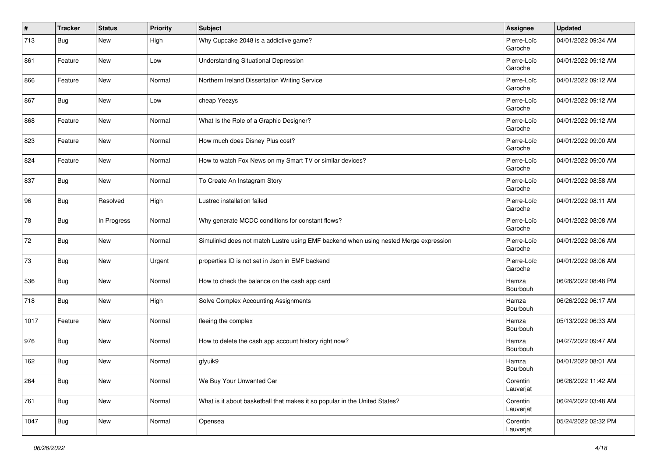| $\sharp$ | <b>Tracker</b> | <b>Status</b> | <b>Priority</b> | <b>Subject</b>                                                                       | <b>Assignee</b>        | <b>Updated</b>      |
|----------|----------------|---------------|-----------------|--------------------------------------------------------------------------------------|------------------------|---------------------|
| 713      | Bug            | New           | High            | Why Cupcake 2048 is a addictive game?                                                | Pierre-Loïc<br>Garoche | 04/01/2022 09:34 AM |
| 861      | Feature        | New           | Low             | <b>Understanding Situational Depression</b>                                          | Pierre-Loïc<br>Garoche | 04/01/2022 09:12 AM |
| 866      | Feature        | New           | Normal          | Northern Ireland Dissertation Writing Service                                        | Pierre-Loïc<br>Garoche | 04/01/2022 09:12 AM |
| 867      | <b>Bug</b>     | <b>New</b>    | Low             | cheap Yeezys                                                                         | Pierre-Loïc<br>Garoche | 04/01/2022 09:12 AM |
| 868      | Feature        | New           | Normal          | What Is the Role of a Graphic Designer?                                              | Pierre-Loïc<br>Garoche | 04/01/2022 09:12 AM |
| 823      | Feature        | New           | Normal          | How much does Disney Plus cost?                                                      | Pierre-Loïc<br>Garoche | 04/01/2022 09:00 AM |
| 824      | Feature        | New           | Normal          | How to watch Fox News on my Smart TV or similar devices?                             | Pierre-Loïc<br>Garoche | 04/01/2022 09:00 AM |
| 837      | <b>Bug</b>     | New           | Normal          | To Create An Instagram Story                                                         | Pierre-Loïc<br>Garoche | 04/01/2022 08:58 AM |
| 96       | <b>Bug</b>     | Resolved      | High            | Lustrec installation failed                                                          | Pierre-Loïc<br>Garoche | 04/01/2022 08:11 AM |
| 78       | <b>Bug</b>     | In Progress   | Normal          | Why generate MCDC conditions for constant flows?                                     | Pierre-Loïc<br>Garoche | 04/01/2022 08:08 AM |
| 72       | <b>Bug</b>     | <b>New</b>    | Normal          | Simulinkd does not match Lustre using EMF backend when using nested Merge expression | Pierre-Loïc<br>Garoche | 04/01/2022 08:06 AM |
| 73       | <b>Bug</b>     | <b>New</b>    | Urgent          | properties ID is not set in Json in EMF backend                                      | Pierre-Loïc<br>Garoche | 04/01/2022 08:06 AM |
| 536      | Bug            | New           | Normal          | How to check the balance on the cash app card                                        | Hamza<br>Bourbouh      | 06/26/2022 08:48 PM |
| 718      | Bug            | New           | High            | Solve Complex Accounting Assignments                                                 | Hamza<br>Bourbouh      | 06/26/2022 06:17 AM |
| 1017     | Feature        | <b>New</b>    | Normal          | fleeing the complex                                                                  | Hamza<br>Bourbouh      | 05/13/2022 06:33 AM |
| 976      | <b>Bug</b>     | New           | Normal          | How to delete the cash app account history right now?                                | Hamza<br>Bourbouh      | 04/27/2022 09:47 AM |
| 162      | Bug            | New           | Normal          | gfyuik9                                                                              | Hamza<br>Bourbouh      | 04/01/2022 08:01 AM |
| 264      | Bug            | New           | Normal          | We Buy Your Unwanted Car                                                             | Corentin<br>Lauverjat  | 06/26/2022 11:42 AM |
| 761      | <b>Bug</b>     | New           | Normal          | What is it about basketball that makes it so popular in the United States?           | Corentin<br>Lauverjat  | 06/24/2022 03:48 AM |
| 1047     | <b>Bug</b>     | New           | Normal          | Opensea                                                                              | Corentin<br>Lauverjat  | 05/24/2022 02:32 PM |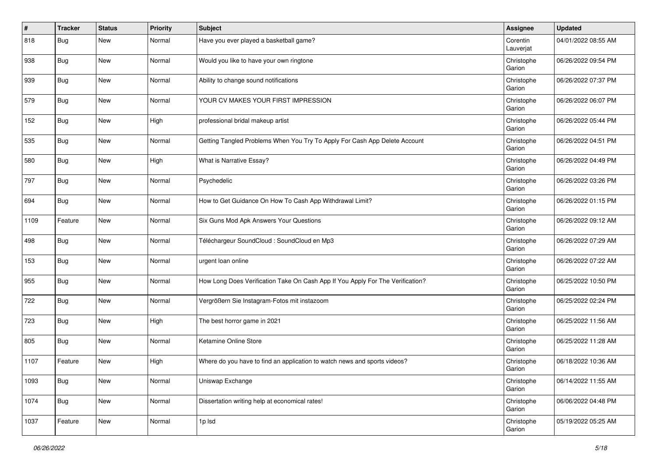| #    | <b>Tracker</b> | <b>Status</b> | <b>Priority</b> | <b>Subject</b>                                                                 | <b>Assignee</b>       | <b>Updated</b>      |
|------|----------------|---------------|-----------------|--------------------------------------------------------------------------------|-----------------------|---------------------|
| 818  | Bug            | New           | Normal          | Have you ever played a basketball game?                                        | Corentin<br>Lauverjat | 04/01/2022 08:55 AM |
| 938  | <b>Bug</b>     | <b>New</b>    | Normal          | Would you like to have your own ringtone                                       | Christophe<br>Garion  | 06/26/2022 09:54 PM |
| 939  | <b>Bug</b>     | New           | Normal          | Ability to change sound notifications                                          | Christophe<br>Garion  | 06/26/2022 07:37 PM |
| 579  | <b>Bug</b>     | <b>New</b>    | Normal          | YOUR CV MAKES YOUR FIRST IMPRESSION                                            | Christophe<br>Garion  | 06/26/2022 06:07 PM |
| 152  | <b>Bug</b>     | New           | High            | professional bridal makeup artist                                              | Christophe<br>Garion  | 06/26/2022 05:44 PM |
| 535  | Bug            | New           | Normal          | Getting Tangled Problems When You Try To Apply For Cash App Delete Account     | Christophe<br>Garion  | 06/26/2022 04:51 PM |
| 580  | Bug            | New           | High            | What is Narrative Essay?                                                       | Christophe<br>Garion  | 06/26/2022 04:49 PM |
| 797  | <b>Bug</b>     | <b>New</b>    | Normal          | Psychedelic                                                                    | Christophe<br>Garion  | 06/26/2022 03:26 PM |
| 694  | <b>Bug</b>     | New           | Normal          | How to Get Guidance On How To Cash App Withdrawal Limit?                       | Christophe<br>Garion  | 06/26/2022 01:15 PM |
| 1109 | Feature        | New           | Normal          | Six Guns Mod Apk Answers Your Questions                                        | Christophe<br>Garion  | 06/26/2022 09:12 AM |
| 498  | Bug            | <b>New</b>    | Normal          | Téléchargeur SoundCloud : SoundCloud en Mp3                                    | Christophe<br>Garion  | 06/26/2022 07:29 AM |
| 153  | <b>Bug</b>     | <b>New</b>    | Normal          | urgent loan online                                                             | Christophe<br>Garion  | 06/26/2022 07:22 AM |
| 955  | Bug            | New           | Normal          | How Long Does Verification Take On Cash App If You Apply For The Verification? | Christophe<br>Garion  | 06/25/2022 10:50 PM |
| 722  | Bug            | New           | Normal          | Vergrößern Sie Instagram-Fotos mit instazoom                                   | Christophe<br>Garion  | 06/25/2022 02:24 PM |
| 723  | <b>Bug</b>     | <b>New</b>    | High            | The best horror game in 2021                                                   | Christophe<br>Garion  | 06/25/2022 11:56 AM |
| 805  | <b>Bug</b>     | New           | Normal          | Ketamine Online Store                                                          | Christophe<br>Garion  | 06/25/2022 11:28 AM |
| 1107 | Feature        | <b>New</b>    | High            | Where do you have to find an application to watch news and sports videos?      | Christophe<br>Garion  | 06/18/2022 10:36 AM |
| 1093 | Bug            | New           | Normal          | Uniswap Exchange                                                               | Christophe<br>Garion  | 06/14/2022 11:55 AM |
| 1074 | <b>Bug</b>     | New           | Normal          | Dissertation writing help at economical rates!                                 | Christophe<br>Garion  | 06/06/2022 04:48 PM |
| 1037 | Feature        | New           | Normal          | 1p lsd                                                                         | Christophe<br>Garion  | 05/19/2022 05:25 AM |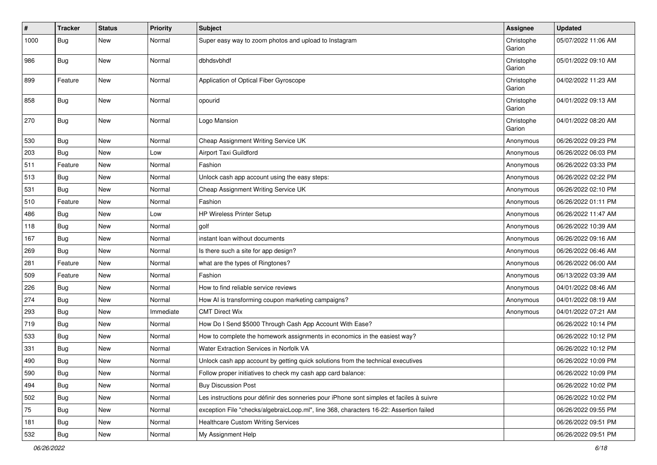| #    | <b>Tracker</b> | <b>Status</b> | <b>Priority</b> | <b>Subject</b>                                                                           | <b>Assignee</b>      | <b>Updated</b>      |
|------|----------------|---------------|-----------------|------------------------------------------------------------------------------------------|----------------------|---------------------|
| 1000 | Bug            | New           | Normal          | Super easy way to zoom photos and upload to Instagram                                    | Christophe<br>Garion | 05/07/2022 11:06 AM |
| 986  | <b>Bug</b>     | New           | Normal          | dbhdsvbhdf                                                                               | Christophe<br>Garion | 05/01/2022 09:10 AM |
| 899  | Feature        | <b>New</b>    | Normal          | Application of Optical Fiber Gyroscope                                                   | Christophe<br>Garion | 04/02/2022 11:23 AM |
| 858  | <b>Bug</b>     | New           | Normal          | opourid                                                                                  | Christophe<br>Garion | 04/01/2022 09:13 AM |
| 270  | Bug            | <b>New</b>    | Normal          | Logo Mansion                                                                             | Christophe<br>Garion | 04/01/2022 08:20 AM |
| 530  | Bug            | New           | Normal          | Cheap Assignment Writing Service UK                                                      | Anonymous            | 06/26/2022 09:23 PM |
| 203  | Bug            | New           | Low             | Airport Taxi Guildford                                                                   | Anonymous            | 06/26/2022 06:03 PM |
| 511  | Feature        | <b>New</b>    | Normal          | Fashion                                                                                  | Anonymous            | 06/26/2022 03:33 PM |
| 513  | Bug            | New           | Normal          | Unlock cash app account using the easy steps:                                            | Anonymous            | 06/26/2022 02:22 PM |
| 531  | <b>Bug</b>     | New           | Normal          | Cheap Assignment Writing Service UK                                                      | Anonymous            | 06/26/2022 02:10 PM |
| 510  | Feature        | New           | Normal          | Fashion                                                                                  | Anonymous            | 06/26/2022 01:11 PM |
| 486  | Bug            | <b>New</b>    | Low             | HP Wireless Printer Setup                                                                | Anonymous            | 06/26/2022 11:47 AM |
| 118  | Bug            | New           | Normal          | golf                                                                                     | Anonymous            | 06/26/2022 10:39 AM |
| 167  | <b>Bug</b>     | <b>New</b>    | Normal          | instant loan without documents                                                           | Anonymous            | 06/26/2022 09:16 AM |
| 269  | Bug            | New           | Normal          | Is there such a site for app design?                                                     | Anonymous            | 06/26/2022 06:46 AM |
| 281  | Feature        | New           | Normal          | what are the types of Ringtones?                                                         | Anonymous            | 06/26/2022 06:00 AM |
| 509  | Feature        | <b>New</b>    | Normal          | Fashion                                                                                  | Anonymous            | 06/13/2022 03:39 AM |
| 226  | <b>Bug</b>     | New           | Normal          | How to find reliable service reviews                                                     | Anonymous            | 04/01/2022 08:46 AM |
| 274  | Bug            | New           | Normal          | How AI is transforming coupon marketing campaigns?                                       | Anonymous            | 04/01/2022 08:19 AM |
| 293  | Bug            | New           | Immediate       | <b>CMT Direct Wix</b>                                                                    | Anonymous            | 04/01/2022 07:21 AM |
| 719  | Bug            | <b>New</b>    | Normal          | How Do I Send \$5000 Through Cash App Account With Ease?                                 |                      | 06/26/2022 10:14 PM |
| 533  | Bug            | New           | Normal          | How to complete the homework assignments in economics in the easiest way?                |                      | 06/26/2022 10:12 PM |
| 331  | <b>Bug</b>     | New           | Normal          | Water Extraction Services in Norfolk VA                                                  |                      | 06/26/2022 10:12 PM |
| 490  | Bug            | New           | Normal          | Unlock cash app account by getting quick solutions from the technical executives         |                      | 06/26/2022 10:09 PM |
| 590  | <b>Bug</b>     | <b>New</b>    | Normal          | Follow proper initiatives to check my cash app card balance:                             |                      | 06/26/2022 10:09 PM |
| 494  | Bug            | New           | Normal          | <b>Buy Discussion Post</b>                                                               |                      | 06/26/2022 10:02 PM |
| 502  | <b>Bug</b>     | New           | Normal          | Les instructions pour définir des sonneries pour iPhone sont simples et faciles à suivre |                      | 06/26/2022 10:02 PM |
| 75   | Bug            | New           | Normal          | exception File "checks/algebraicLoop.ml", line 368, characters 16-22: Assertion failed   |                      | 06/26/2022 09:55 PM |
| 181  | <b>Bug</b>     | New           | Normal          | <b>Healthcare Custom Writing Services</b>                                                |                      | 06/26/2022 09:51 PM |
| 532  | <b>Bug</b>     | New           | Normal          | My Assignment Help                                                                       |                      | 06/26/2022 09:51 PM |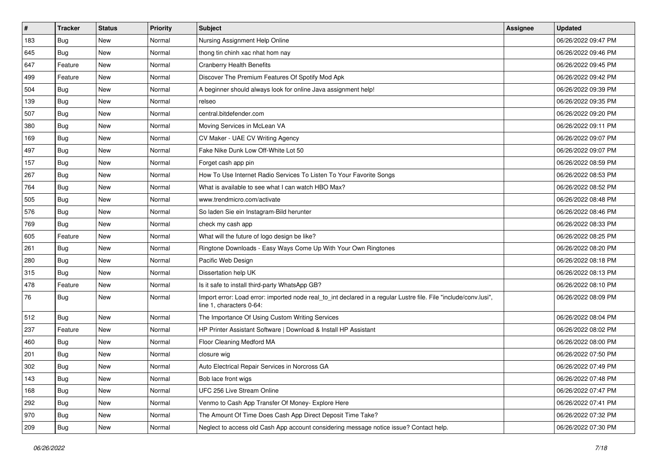| $\sharp$ | <b>Tracker</b> | <b>Status</b> | <b>Priority</b> | <b>Subject</b>                                                                                                                               | <b>Assignee</b> | <b>Updated</b>      |
|----------|----------------|---------------|-----------------|----------------------------------------------------------------------------------------------------------------------------------------------|-----------------|---------------------|
| 183      | Bug            | New           | Normal          | Nursing Assignment Help Online                                                                                                               |                 | 06/26/2022 09:47 PM |
| 645      | <b>Bug</b>     | <b>New</b>    | Normal          | thong tin chinh xac nhat hom nay                                                                                                             |                 | 06/26/2022 09:46 PM |
| 647      | Feature        | New           | Normal          | <b>Cranberry Health Benefits</b>                                                                                                             |                 | 06/26/2022 09:45 PM |
| 499      | Feature        | New           | Normal          | Discover The Premium Features Of Spotify Mod Apk                                                                                             |                 | 06/26/2022 09:42 PM |
| 504      | <b>Bug</b>     | <b>New</b>    | Normal          | A beginner should always look for online Java assignment help!                                                                               |                 | 06/26/2022 09:39 PM |
| 139      | <b>Bug</b>     | New           | Normal          | relseo                                                                                                                                       |                 | 06/26/2022 09:35 PM |
| 507      | Bug            | <b>New</b>    | Normal          | central.bitdefender.com                                                                                                                      |                 | 06/26/2022 09:20 PM |
| 380      | <b>Bug</b>     | New           | Normal          | Moving Services in McLean VA                                                                                                                 |                 | 06/26/2022 09:11 PM |
| 169      | <b>Bug</b>     | <b>New</b>    | Normal          | CV Maker - UAE CV Writing Agency                                                                                                             |                 | 06/26/2022 09:07 PM |
| 497      | Bug            | <b>New</b>    | Normal          | Fake Nike Dunk Low Off-White Lot 50                                                                                                          |                 | 06/26/2022 09:07 PM |
| 157      | Bug            | New           | Normal          | Forget cash app pin                                                                                                                          |                 | 06/26/2022 08:59 PM |
| 267      | Bug            | New           | Normal          | How To Use Internet Radio Services To Listen To Your Favorite Songs                                                                          |                 | 06/26/2022 08:53 PM |
| 764      | <b>Bug</b>     | New           | Normal          | What is available to see what I can watch HBO Max?                                                                                           |                 | 06/26/2022 08:52 PM |
| 505      | Bug            | <b>New</b>    | Normal          | www.trendmicro.com/activate                                                                                                                  |                 | 06/26/2022 08:48 PM |
| 576      | Bug            | <b>New</b>    | Normal          | So laden Sie ein Instagram-Bild herunter                                                                                                     |                 | 06/26/2022 08:46 PM |
| 769      | <b>Bug</b>     | New           | Normal          | check my cash app                                                                                                                            |                 | 06/26/2022 08:33 PM |
| 605      | Feature        | New           | Normal          | What will the future of logo design be like?                                                                                                 |                 | 06/26/2022 08:25 PM |
| 261      | <b>Bug</b>     | <b>New</b>    | Normal          | Ringtone Downloads - Easy Ways Come Up With Your Own Ringtones                                                                               |                 | 06/26/2022 08:20 PM |
| 280      | Bug            | New           | Normal          | Pacific Web Design                                                                                                                           |                 | 06/26/2022 08:18 PM |
| 315      | <b>Bug</b>     | <b>New</b>    | Normal          | Dissertation help UK                                                                                                                         |                 | 06/26/2022 08:13 PM |
| 478      | Feature        | New           | Normal          | Is it safe to install third-party WhatsApp GB?                                                                                               |                 | 06/26/2022 08:10 PM |
| 76       | <b>Bug</b>     | New           | Normal          | Import error: Load error: imported node real_to_int declared in a regular Lustre file. File "include/conv.lusi",<br>line 1, characters 0-64: |                 | 06/26/2022 08:09 PM |
| 512      | <b>Bug</b>     | <b>New</b>    | Normal          | The Importance Of Using Custom Writing Services                                                                                              |                 | 06/26/2022 08:04 PM |
| 237      | Feature        | <b>New</b>    | Normal          | HP Printer Assistant Software   Download & Install HP Assistant                                                                              |                 | 06/26/2022 08:02 PM |
| 460      | <b>Bug</b>     | New           | Normal          | Floor Cleaning Medford MA                                                                                                                    |                 | 06/26/2022 08:00 PM |
| 201      | Bug            | New           | Normal          | closure wig                                                                                                                                  |                 | 06/26/2022 07:50 PM |
| 302      | <b>Bug</b>     | New           | Normal          | Auto Electrical Repair Services in Norcross GA                                                                                               |                 | 06/26/2022 07:49 PM |
| 143      | Bug            | New           | Normal          | Bob lace front wigs                                                                                                                          |                 | 06/26/2022 07:48 PM |
| 168      | <b>Bug</b>     | New           | Normal          | UFC 256 Live Stream Online                                                                                                                   |                 | 06/26/2022 07:47 PM |
| 292      | Bug            | New           | Normal          | Venmo to Cash App Transfer Of Money- Explore Here                                                                                            |                 | 06/26/2022 07:41 PM |
| 970      | <b>Bug</b>     | New           | Normal          | The Amount Of Time Does Cash App Direct Deposit Time Take?                                                                                   |                 | 06/26/2022 07:32 PM |
| 209      | <b>Bug</b>     | New           | Normal          | Neglect to access old Cash App account considering message notice issue? Contact help.                                                       |                 | 06/26/2022 07:30 PM |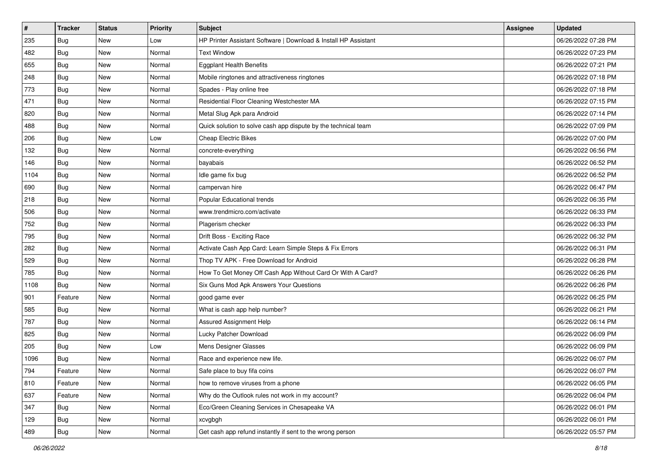| $\vert$ # | <b>Tracker</b> | <b>Status</b> | <b>Priority</b> | <b>Subject</b>                                                  | <b>Assignee</b> | <b>Updated</b>      |
|-----------|----------------|---------------|-----------------|-----------------------------------------------------------------|-----------------|---------------------|
| 235       | Bug            | New           | Low             | HP Printer Assistant Software   Download & Install HP Assistant |                 | 06/26/2022 07:28 PM |
| 482       | Bug            | New           | Normal          | <b>Text Window</b>                                              |                 | 06/26/2022 07:23 PM |
| 655       | <b>Bug</b>     | New           | Normal          | <b>Eggplant Health Benefits</b>                                 |                 | 06/26/2022 07:21 PM |
| 248       | <b>Bug</b>     | <b>New</b>    | Normal          | Mobile ringtones and attractiveness ringtones                   |                 | 06/26/2022 07:18 PM |
| 773       | <b>Bug</b>     | <b>New</b>    | Normal          | Spades - Play online free                                       |                 | 06/26/2022 07:18 PM |
| 471       | <b>Bug</b>     | New           | Normal          | Residential Floor Cleaning Westchester MA                       |                 | 06/26/2022 07:15 PM |
| 820       | <b>Bug</b>     | New           | Normal          | Metal Slug Apk para Android                                     |                 | 06/26/2022 07:14 PM |
| 488       | Bug            | New           | Normal          | Quick solution to solve cash app dispute by the technical team  |                 | 06/26/2022 07:09 PM |
| 206       | <b>Bug</b>     | New           | Low             | Cheap Electric Bikes                                            |                 | 06/26/2022 07:00 PM |
| 132       | <b>Bug</b>     | <b>New</b>    | Normal          | concrete-everything                                             |                 | 06/26/2022 06:56 PM |
| 146       | Bug            | New           | Normal          | bayabais                                                        |                 | 06/26/2022 06:52 PM |
| 1104      | Bug            | New           | Normal          | Idle game fix bug                                               |                 | 06/26/2022 06:52 PM |
| 690       | <b>Bug</b>     | <b>New</b>    | Normal          | campervan hire                                                  |                 | 06/26/2022 06:47 PM |
| 218       | <b>Bug</b>     | <b>New</b>    | Normal          | Popular Educational trends                                      |                 | 06/26/2022 06:35 PM |
| 506       | <b>Bug</b>     | <b>New</b>    | Normal          | www.trendmicro.com/activate                                     |                 | 06/26/2022 06:33 PM |
| 752       | <b>Bug</b>     | New           | Normal          | Plagerism checker                                               |                 | 06/26/2022 06:33 PM |
| 795       | <b>Bug</b>     | New           | Normal          | Drift Boss - Exciting Race                                      |                 | 06/26/2022 06:32 PM |
| 282       | <b>Bug</b>     | New           | Normal          | Activate Cash App Card: Learn Simple Steps & Fix Errors         |                 | 06/26/2022 06:31 PM |
| 529       | Bug            | New           | Normal          | Thop TV APK - Free Download for Android                         |                 | 06/26/2022 06:28 PM |
| 785       | <b>Bug</b>     | New           | Normal          | How To Get Money Off Cash App Without Card Or With A Card?      |                 | 06/26/2022 06:26 PM |
| 1108      | Bug            | New           | Normal          | Six Guns Mod Apk Answers Your Questions                         |                 | 06/26/2022 06:26 PM |
| 901       | Feature        | New           | Normal          | good game ever                                                  |                 | 06/26/2022 06:25 PM |
| 585       | <b>Bug</b>     | <b>New</b>    | Normal          | What is cash app help number?                                   |                 | 06/26/2022 06:21 PM |
| 787       | <b>Bug</b>     | New           | Normal          | Assured Assignment Help                                         |                 | 06/26/2022 06:14 PM |
| 825       | <b>Bug</b>     | New           | Normal          | Lucky Patcher Download                                          |                 | 06/26/2022 06:09 PM |
| 205       | <b>Bug</b>     | <b>New</b>    | Low             | Mens Designer Glasses                                           |                 | 06/26/2022 06:09 PM |
| 1096      | <b>Bug</b>     | New           | Normal          | Race and experience new life.                                   |                 | 06/26/2022 06:07 PM |
| 794       | Feature        | New           | Normal          | Safe place to buy fifa coins                                    |                 | 06/26/2022 06:07 PM |
| 810       | Feature        | New           | Normal          | how to remove viruses from a phone                              |                 | 06/26/2022 06:05 PM |
| 637       | Feature        | New           | Normal          | Why do the Outlook rules not work in my account?                |                 | 06/26/2022 06:04 PM |
| 347       | Bug            | New           | Normal          | Eco/Green Cleaning Services in Chesapeake VA                    |                 | 06/26/2022 06:01 PM |
| 129       | <b>Bug</b>     | New           | Normal          | xcvgbgh                                                         |                 | 06/26/2022 06:01 PM |
| 489       | <b>Bug</b>     | New           | Normal          | Get cash app refund instantly if sent to the wrong person       |                 | 06/26/2022 05:57 PM |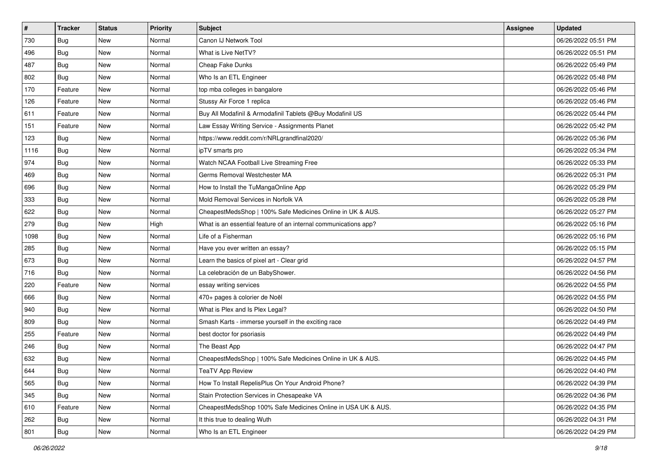| $\sharp$ | <b>Tracker</b> | <b>Status</b> | <b>Priority</b> | <b>Subject</b>                                                  | <b>Assignee</b> | <b>Updated</b>      |
|----------|----------------|---------------|-----------------|-----------------------------------------------------------------|-----------------|---------------------|
| 730      | Bug            | New           | Normal          | Canon IJ Network Tool                                           |                 | 06/26/2022 05:51 PM |
| 496      | Bug            | <b>New</b>    | Normal          | What is Live NetTV?                                             |                 | 06/26/2022 05:51 PM |
| 487      | <b>Bug</b>     | New           | Normal          | Cheap Fake Dunks                                                |                 | 06/26/2022 05:49 PM |
| 802      | Bug            | <b>New</b>    | Normal          | Who Is an ETL Engineer                                          |                 | 06/26/2022 05:48 PM |
| 170      | Feature        | <b>New</b>    | Normal          | top mba colleges in bangalore                                   |                 | 06/26/2022 05:46 PM |
| 126      | Feature        | New           | Normal          | Stussy Air Force 1 replica                                      |                 | 06/26/2022 05:46 PM |
| 611      | Feature        | <b>New</b>    | Normal          | Buy All Modafinil & Armodafinil Tablets @Buy Modafinil US       |                 | 06/26/2022 05:44 PM |
| 151      | Feature        | New           | Normal          | Law Essay Writing Service - Assignments Planet                  |                 | 06/26/2022 05:42 PM |
| 123      | <b>Bug</b>     | New           | Normal          | https://www.reddit.com/r/NRLgrandfinal2020/                     |                 | 06/26/2022 05:36 PM |
| 1116     | Bug            | <b>New</b>    | Normal          | ipTV smarts pro                                                 |                 | 06/26/2022 05:34 PM |
| 974      | Bug            | New           | Normal          | Watch NCAA Football Live Streaming Free                         |                 | 06/26/2022 05:33 PM |
| 469      | Bug            | New           | Normal          | Germs Removal Westchester MA                                    |                 | 06/26/2022 05:31 PM |
| 696      | <b>Bug</b>     | New           | Normal          | How to Install the TuMangaOnline App                            |                 | 06/26/2022 05:29 PM |
| 333      | Bug            | <b>New</b>    | Normal          | Mold Removal Services in Norfolk VA                             |                 | 06/26/2022 05:28 PM |
| 622      | Bug            | New           | Normal          | CheapestMedsShop   100% Safe Medicines Online in UK & AUS.      |                 | 06/26/2022 05:27 PM |
| 279      | Bug            | New           | High            | What is an essential feature of an internal communications app? |                 | 06/26/2022 05:16 PM |
| 1098     | Bug            | New           | Normal          | Life of a Fisherman                                             |                 | 06/26/2022 05:16 PM |
| 285      | <b>Bug</b>     | <b>New</b>    | Normal          | Have you ever written an essay?                                 |                 | 06/26/2022 05:15 PM |
| 673      | Bug            | New           | Normal          | Learn the basics of pixel art - Clear grid                      |                 | 06/26/2022 04:57 PM |
| 716      | <b>Bug</b>     | <b>New</b>    | Normal          | La celebración de un BabyShower.                                |                 | 06/26/2022 04:56 PM |
| 220      | Feature        | New           | Normal          | essay writing services                                          |                 | 06/26/2022 04:55 PM |
| 666      | Bug            | New           | Normal          | 470+ pages à colorier de Noël                                   |                 | 06/26/2022 04:55 PM |
| 940      | Bug            | <b>New</b>    | Normal          | What is Plex and Is Plex Legal?                                 |                 | 06/26/2022 04:50 PM |
| 809      | <b>Bug</b>     | New           | Normal          | Smash Karts - immerse yourself in the exciting race             |                 | 06/26/2022 04:49 PM |
| 255      | Feature        | New           | Normal          | best doctor for psoriasis                                       |                 | 06/26/2022 04:49 PM |
| 246      | <b>Bug</b>     | New           | Normal          | The Beast App                                                   |                 | 06/26/2022 04:47 PM |
| 632      | <b>Bug</b>     | New           | Normal          | CheapestMedsShop   100% Safe Medicines Online in UK & AUS.      |                 | 06/26/2022 04:45 PM |
| 644      | <b>Bug</b>     | New           | Normal          | <b>TeaTV App Review</b>                                         |                 | 06/26/2022 04:40 PM |
| 565      | <b>Bug</b>     | New           | Normal          | How To Install RepelisPlus On Your Android Phone?               |                 | 06/26/2022 04:39 PM |
| 345      | Bug            | New           | Normal          | Stain Protection Services in Chesapeake VA                      |                 | 06/26/2022 04:36 PM |
| 610      | Feature        | New           | Normal          | CheapestMedsShop 100% Safe Medicines Online in USA UK & AUS.    |                 | 06/26/2022 04:35 PM |
| 262      | <b>Bug</b>     | New           | Normal          | It this true to dealing Wuth                                    |                 | 06/26/2022 04:31 PM |
| 801      | <b>Bug</b>     | New           | Normal          | Who Is an ETL Engineer                                          |                 | 06/26/2022 04:29 PM |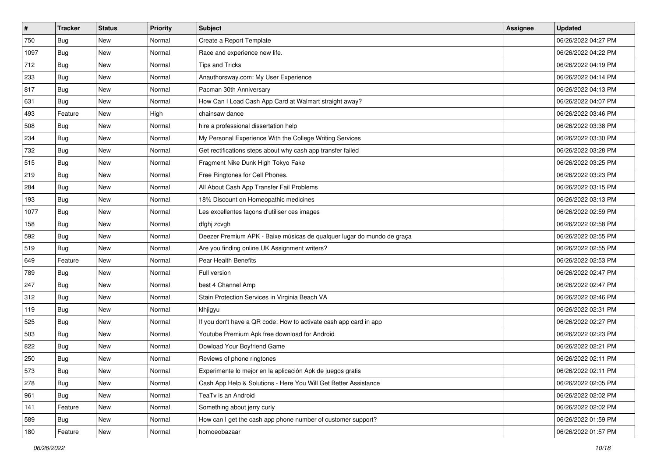| $\sharp$ | <b>Tracker</b> | <b>Status</b> | <b>Priority</b> | <b>Subject</b>                                                         | <b>Assignee</b> | <b>Updated</b>      |
|----------|----------------|---------------|-----------------|------------------------------------------------------------------------|-----------------|---------------------|
| 750      | Bug            | New           | Normal          | Create a Report Template                                               |                 | 06/26/2022 04:27 PM |
| 1097     | Bug            | <b>New</b>    | Normal          | Race and experience new life.                                          |                 | 06/26/2022 04:22 PM |
| 712      | <b>Bug</b>     | New           | Normal          | Tips and Tricks                                                        |                 | 06/26/2022 04:19 PM |
| 233      | Bug            | New           | Normal          | Anauthorsway.com: My User Experience                                   |                 | 06/26/2022 04:14 PM |
| 817      | <b>Bug</b>     | <b>New</b>    | Normal          | Pacman 30th Anniversary                                                |                 | 06/26/2022 04:13 PM |
| 631      | Bug            | New           | Normal          | How Can I Load Cash App Card at Walmart straight away?                 |                 | 06/26/2022 04:07 PM |
| 493      | Feature        | New           | High            | chainsaw dance                                                         |                 | 06/26/2022 03:46 PM |
| 508      | Bug            | New           | Normal          | hire a professional dissertation help                                  |                 | 06/26/2022 03:38 PM |
| 234      | Bug            | New           | Normal          | My Personal Experience With the College Writing Services               |                 | 06/26/2022 03:30 PM |
| 732      | Bug            | <b>New</b>    | Normal          | Get rectifications steps about why cash app transfer failed            |                 | 06/26/2022 03:28 PM |
| 515      | Bug            | New           | Normal          | Fragment Nike Dunk High Tokyo Fake                                     |                 | 06/26/2022 03:25 PM |
| 219      | Bug            | New           | Normal          | Free Ringtones for Cell Phones.                                        |                 | 06/26/2022 03:23 PM |
| 284      | <b>Bug</b>     | New           | Normal          | All About Cash App Transfer Fail Problems                              |                 | 06/26/2022 03:15 PM |
| 193      | Bug            | New           | Normal          | 18% Discount on Homeopathic medicines                                  |                 | 06/26/2022 03:13 PM |
| 1077     | Bug            | New           | Normal          | Les excellentes façons d'utiliser ces images                           |                 | 06/26/2022 02:59 PM |
| 158      | Bug            | New           | Normal          | dfghj zcvgh                                                            |                 | 06/26/2022 02:58 PM |
| 592      | Bug            | New           | Normal          | Deezer Premium APK - Baixe músicas de qualquer lugar do mundo de graça |                 | 06/26/2022 02:55 PM |
| 519      | <b>Bug</b>     | <b>New</b>    | Normal          | Are you finding online UK Assignment writers?                          |                 | 06/26/2022 02:55 PM |
| 649      | Feature        | New           | Normal          | Pear Health Benefits                                                   |                 | 06/26/2022 02:53 PM |
| 789      | Bug            | New           | Normal          | Full version                                                           |                 | 06/26/2022 02:47 PM |
| 247      | <b>Bug</b>     | New           | Normal          | best 4 Channel Amp                                                     |                 | 06/26/2022 02:47 PM |
| 312      | Bug            | New           | Normal          | Stain Protection Services in Virginia Beach VA                         |                 | 06/26/2022 02:46 PM |
| 119      | Bug            | <b>New</b>    | Normal          | klhjigyu                                                               |                 | 06/26/2022 02:31 PM |
| 525      | <b>Bug</b>     | New           | Normal          | If you don't have a QR code: How to activate cash app card in app      |                 | 06/26/2022 02:27 PM |
| 503      | Bug            | New           | Normal          | Youtube Premium Apk free download for Android                          |                 | 06/26/2022 02:23 PM |
| 822      | Bug            | New           | Normal          | Dowload Your Boyfriend Game                                            |                 | 06/26/2022 02:21 PM |
| 250      | <b>Bug</b>     | New           | Normal          | Reviews of phone ringtones                                             |                 | 06/26/2022 02:11 PM |
| 573      | <b>Bug</b>     | New           | Normal          | Experimente lo mejor en la aplicación Apk de juegos gratis             |                 | 06/26/2022 02:11 PM |
| 278      | <b>Bug</b>     | New           | Normal          | Cash App Help & Solutions - Here You Will Get Better Assistance        |                 | 06/26/2022 02:05 PM |
| 961      | Bug            | New           | Normal          | TeaTv is an Android                                                    |                 | 06/26/2022 02:02 PM |
| 141      | Feature        | New           | Normal          | Something about jerry curly                                            |                 | 06/26/2022 02:02 PM |
| 589      | <b>Bug</b>     | New           | Normal          | How can I get the cash app phone number of customer support?           |                 | 06/26/2022 01:59 PM |
| 180      | Feature        | New           | Normal          | homoeobazaar                                                           |                 | 06/26/2022 01:57 PM |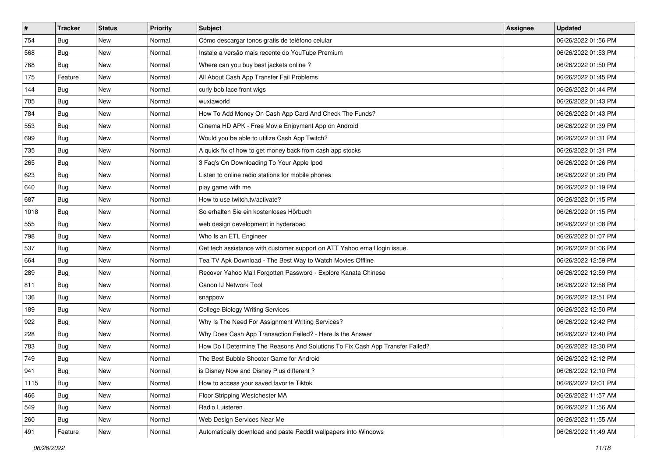| #    | <b>Tracker</b> | <b>Status</b> | <b>Priority</b> | <b>Subject</b>                                                                | <b>Assignee</b> | <b>Updated</b>      |
|------|----------------|---------------|-----------------|-------------------------------------------------------------------------------|-----------------|---------------------|
| 754  | <b>Bug</b>     | New           | Normal          | Cómo descargar tonos gratis de teléfono celular                               |                 | 06/26/2022 01:56 PM |
| 568  | Bug            | <b>New</b>    | Normal          | Instale a versão mais recente do YouTube Premium                              |                 | 06/26/2022 01:53 PM |
| 768  | Bug            | New           | Normal          | Where can you buy best jackets online?                                        |                 | 06/26/2022 01:50 PM |
| 175  | Feature        | New           | Normal          | All About Cash App Transfer Fail Problems                                     |                 | 06/26/2022 01:45 PM |
| 144  | <b>Bug</b>     | <b>New</b>    | Normal          | curly bob lace front wigs                                                     |                 | 06/26/2022 01:44 PM |
| 705  | Bug            | New           | Normal          | wuxiaworld                                                                    |                 | 06/26/2022 01:43 PM |
| 784  | Bug            | <b>New</b>    | Normal          | How To Add Money On Cash App Card And Check The Funds?                        |                 | 06/26/2022 01:43 PM |
| 553  | <b>Bug</b>     | New           | Normal          | Cinema HD APK - Free Movie Enjoyment App on Android                           |                 | 06/26/2022 01:39 PM |
| 699  | Bug            | New           | Normal          | Would you be able to utilize Cash App Twitch?                                 |                 | 06/26/2022 01:31 PM |
| 735  | Bug            | <b>New</b>    | Normal          | A quick fix of how to get money back from cash app stocks                     |                 | 06/26/2022 01:31 PM |
| 265  | Bug            | New           | Normal          | 3 Faq's On Downloading To Your Apple Ipod                                     |                 | 06/26/2022 01:26 PM |
| 623  | Bug            | New           | Normal          | Listen to online radio stations for mobile phones                             |                 | 06/26/2022 01:20 PM |
| 640  | Bug            | New           | Normal          | play game with me                                                             |                 | 06/26/2022 01:19 PM |
| 687  | <b>Bug</b>     | <b>New</b>    | Normal          | How to use twitch.tv/activate?                                                |                 | 06/26/2022 01:15 PM |
| 1018 | Bug            | New           | Normal          | So erhalten Sie ein kostenloses Hörbuch                                       |                 | 06/26/2022 01:15 PM |
| 555  | Bug            | <b>New</b>    | Normal          | web design development in hyderabad                                           |                 | 06/26/2022 01:08 PM |
| 798  | Bug            | New           | Normal          | Who Is an ETL Engineer                                                        |                 | 06/26/2022 01:07 PM |
| 537  | Bug            | New           | Normal          | Get tech assistance with customer support on ATT Yahoo email login issue.     |                 | 06/26/2022 01:06 PM |
| 664  | Bug            | New           | Normal          | Tea TV Apk Download - The Best Way to Watch Movies Offline                    |                 | 06/26/2022 12:59 PM |
| 289  | Bug            | <b>New</b>    | Normal          | Recover Yahoo Mail Forgotten Password - Explore Kanata Chinese                |                 | 06/26/2022 12:59 PM |
| 811  | <b>Bug</b>     | New           | Normal          | Canon IJ Network Tool                                                         |                 | 06/26/2022 12:58 PM |
| 136  | Bug            | New           | Normal          | snappow                                                                       |                 | 06/26/2022 12:51 PM |
| 189  | Bug            | <b>New</b>    | Normal          | <b>College Biology Writing Services</b>                                       |                 | 06/26/2022 12:50 PM |
| 922  | <b>Bug</b>     | New           | Normal          | Why Is The Need For Assignment Writing Services?                              |                 | 06/26/2022 12:42 PM |
| 228  | Bug            | <b>New</b>    | Normal          | Why Does Cash App Transaction Failed? - Here Is the Answer                    |                 | 06/26/2022 12:40 PM |
| 783  | Bug            | New           | Normal          | How Do I Determine The Reasons And Solutions To Fix Cash App Transfer Failed? |                 | 06/26/2022 12:30 PM |
| 749  | Bug            | New           | Normal          | The Best Bubble Shooter Game for Android                                      |                 | 06/26/2022 12:12 PM |
| 941  | <b>Bug</b>     | New           | Normal          | is Disney Now and Disney Plus different?                                      |                 | 06/26/2022 12:10 PM |
| 1115 | <b>Bug</b>     | New           | Normal          | How to access your saved favorite Tiktok                                      |                 | 06/26/2022 12:01 PM |
| 466  | Bug            | New           | Normal          | Floor Stripping Westchester MA                                                |                 | 06/26/2022 11:57 AM |
| 549  | <b>Bug</b>     | New           | Normal          | Radio Luisteren                                                               |                 | 06/26/2022 11:56 AM |
| 260  | <b>Bug</b>     | New           | Normal          | Web Design Services Near Me                                                   |                 | 06/26/2022 11:55 AM |
| 491  | Feature        | New           | Normal          | Automatically download and paste Reddit wallpapers into Windows               |                 | 06/26/2022 11:49 AM |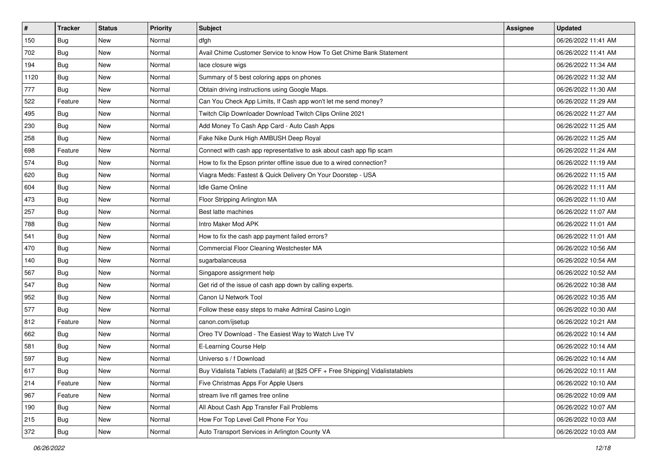| $\sharp$ | <b>Tracker</b> | <b>Status</b> | <b>Priority</b> | <b>Subject</b>                                                                   | <b>Assignee</b> | <b>Updated</b>      |
|----------|----------------|---------------|-----------------|----------------------------------------------------------------------------------|-----------------|---------------------|
| 150      | <b>Bug</b>     | New           | Normal          | dfgh                                                                             |                 | 06/26/2022 11:41 AM |
| 702      | Bug            | New           | Normal          | Avail Chime Customer Service to know How To Get Chime Bank Statement             |                 | 06/26/2022 11:41 AM |
| 194      | <b>Bug</b>     | New           | Normal          | lace closure wigs                                                                |                 | 06/26/2022 11:34 AM |
| 1120     | Bug            | New           | Normal          | Summary of 5 best coloring apps on phones                                        |                 | 06/26/2022 11:32 AM |
| 777      | <b>Bug</b>     | <b>New</b>    | Normal          | Obtain driving instructions using Google Maps.                                   |                 | 06/26/2022 11:30 AM |
| 522      | Feature        | New           | Normal          | Can You Check App Limits, If Cash app won't let me send money?                   |                 | 06/26/2022 11:29 AM |
| 495      | Bug            | New           | Normal          | Twitch Clip Downloader Download Twitch Clips Online 2021                         |                 | 06/26/2022 11:27 AM |
| 230      | <b>Bug</b>     | New           | Normal          | Add Money To Cash App Card - Auto Cash Apps                                      |                 | 06/26/2022 11:25 AM |
| 258      | <b>Bug</b>     | <b>New</b>    | Normal          | Fake Nike Dunk High AMBUSH Deep Royal                                            |                 | 06/26/2022 11:25 AM |
| 698      | Feature        | New           | Normal          | Connect with cash app representative to ask about cash app flip scam             |                 | 06/26/2022 11:24 AM |
| 574      | <b>Bug</b>     | New           | Normal          | How to fix the Epson printer offline issue due to a wired connection?            |                 | 06/26/2022 11:19 AM |
| 620      | Bug            | New           | Normal          | Viagra Meds: Fastest & Quick Delivery On Your Doorstep - USA                     |                 | 06/26/2022 11:15 AM |
| 604      | Bug            | <b>New</b>    | Normal          | Idle Game Online                                                                 |                 | 06/26/2022 11:11 AM |
| 473      | Bug            | New           | Normal          | Floor Stripping Arlington MA                                                     |                 | 06/26/2022 11:10 AM |
| 257      | Bug            | New           | Normal          | Best latte machines                                                              |                 | 06/26/2022 11:07 AM |
| 788      | <b>Bug</b>     | New           | Normal          | Intro Maker Mod APK                                                              |                 | 06/26/2022 11:01 AM |
| 541      | Bug            | New           | Normal          | How to fix the cash app payment failed errors?                                   |                 | 06/26/2022 11:01 AM |
| 470      | Bug            | <b>New</b>    | Normal          | Commercial Floor Cleaning Westchester MA                                         |                 | 06/26/2022 10:56 AM |
| 140      | Bug            | New           | Normal          | sugarbalanceusa                                                                  |                 | 06/26/2022 10:54 AM |
| 567      | Bug            | New           | Normal          | Singapore assignment help                                                        |                 | 06/26/2022 10:52 AM |
| 547      | Bug            | New           | Normal          | Get rid of the issue of cash app down by calling experts.                        |                 | 06/26/2022 10:38 AM |
| 952      | Bug            | New           | Normal          | Canon IJ Network Tool                                                            |                 | 06/26/2022 10:35 AM |
| 577      | <b>Bug</b>     | <b>New</b>    | Normal          | Follow these easy steps to make Admiral Casino Login                             |                 | 06/26/2022 10:30 AM |
| 812      | Feature        | New           | Normal          | canon.com/ijsetup                                                                |                 | 06/26/2022 10:21 AM |
| 662      | Bug            | New           | Normal          | Oreo TV Download - The Easiest Way to Watch Live TV                              |                 | 06/26/2022 10:14 AM |
| 581      | Bug            | New           | Normal          | E-Learning Course Help                                                           |                 | 06/26/2022 10:14 AM |
| 597      | <b>Bug</b>     | New           | Normal          | Universo s / f Download                                                          |                 | 06/26/2022 10:14 AM |
| 617      | i Bug          | New           | Normal          | Buy Vidalista Tablets (Tadalafil) at [\$25 OFF + Free Shipping] Vidalistatablets |                 | 06/26/2022 10:11 AM |
| 214      | Feature        | New           | Normal          | Five Christmas Apps For Apple Users                                              |                 | 06/26/2022 10:10 AM |
| 967      | Feature        | New           | Normal          | stream live nfl games free online                                                |                 | 06/26/2022 10:09 AM |
| 190      | <b>Bug</b>     | New           | Normal          | All About Cash App Transfer Fail Problems                                        |                 | 06/26/2022 10:07 AM |
| 215      | <b>Bug</b>     | New           | Normal          | How For Top Level Cell Phone For You                                             |                 | 06/26/2022 10:03 AM |
| 372      | <b>Bug</b>     | New           | Normal          | Auto Transport Services in Arlington County VA                                   |                 | 06/26/2022 10:03 AM |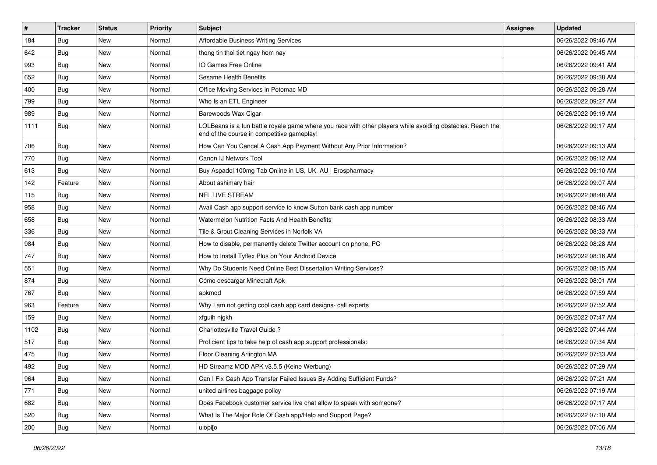| $\sharp$ | <b>Tracker</b> | <b>Status</b> | <b>Priority</b> | <b>Subject</b>                                                                                                                                           | <b>Assignee</b> | <b>Updated</b>      |
|----------|----------------|---------------|-----------------|----------------------------------------------------------------------------------------------------------------------------------------------------------|-----------------|---------------------|
| 184      | Bug            | New           | Normal          | Affordable Business Writing Services                                                                                                                     |                 | 06/26/2022 09:46 AM |
| 642      | Bug            | <b>New</b>    | Normal          | thong tin thoi tiet ngay hom nay                                                                                                                         |                 | 06/26/2022 09:45 AM |
| 993      | Bug            | New           | Normal          | IO Games Free Online                                                                                                                                     |                 | 06/26/2022 09:41 AM |
| 652      | Bug            | New           | Normal          | Sesame Health Benefits                                                                                                                                   |                 | 06/26/2022 09:38 AM |
| 400      | <b>Bug</b>     | <b>New</b>    | Normal          | Office Moving Services in Potomac MD                                                                                                                     |                 | 06/26/2022 09:28 AM |
| 799      | Bug            | New           | Normal          | Who Is an ETL Engineer                                                                                                                                   |                 | 06/26/2022 09:27 AM |
| 989      | Bug            | New           | Normal          | Barewoods Wax Cigar                                                                                                                                      |                 | 06/26/2022 09:19 AM |
| 1111     | <b>Bug</b>     | New           | Normal          | LOLBeans is a fun battle royale game where you race with other players while avoiding obstacles. Reach the<br>end of the course in competitive gameplay! |                 | 06/26/2022 09:17 AM |
| 706      | Bug            | <b>New</b>    | Normal          | How Can You Cancel A Cash App Payment Without Any Prior Information?                                                                                     |                 | 06/26/2022 09:13 AM |
| 770      | Bug            | New           | Normal          | Canon IJ Network Tool                                                                                                                                    |                 | 06/26/2022 09:12 AM |
| 613      | Bug            | <b>New</b>    | Normal          | Buy Aspadol 100mg Tab Online in US, UK, AU   Erospharmacy                                                                                                |                 | 06/26/2022 09:10 AM |
| 142      | Feature        | New           | Normal          | About ashimary hair                                                                                                                                      |                 | 06/26/2022 09:07 AM |
| 115      | <b>Bug</b>     | New           | Normal          | NFL LIVE STREAM                                                                                                                                          |                 | 06/26/2022 08:48 AM |
| 958      | Bug            | <b>New</b>    | Normal          | Avail Cash app support service to know Sutton bank cash app number                                                                                       |                 | 06/26/2022 08:46 AM |
| 658      | Bug            | New           | Normal          | Watermelon Nutrition Facts And Health Benefits                                                                                                           |                 | 06/26/2022 08:33 AM |
| 336      | Bug            | New           | Normal          | Tile & Grout Cleaning Services in Norfolk VA                                                                                                             |                 | 06/26/2022 08:33 AM |
| 984      | <b>Bug</b>     | <b>New</b>    | Normal          | How to disable, permanently delete Twitter account on phone, PC                                                                                          |                 | 06/26/2022 08:28 AM |
| 747      | Bug            | New           | Normal          | How to Install Tyflex Plus on Your Android Device                                                                                                        |                 | 06/26/2022 08:16 AM |
| 551      | Bug            | New           | Normal          | Why Do Students Need Online Best Dissertation Writing Services?                                                                                          |                 | 06/26/2022 08:15 AM |
| 874      | <b>Bug</b>     | New           | Normal          | Cómo descargar Minecraft Apk                                                                                                                             |                 | 06/26/2022 08:01 AM |
| 767      | Bug            | <b>New</b>    | Normal          | apkmod                                                                                                                                                   |                 | 06/26/2022 07:59 AM |
| 963      | Feature        | <b>New</b>    | Normal          | Why I am not getting cool cash app card designs- call experts                                                                                            |                 | 06/26/2022 07:52 AM |
| 159      | <b>Bug</b>     | New           | Normal          | xfguih njgkh                                                                                                                                             |                 | 06/26/2022 07:47 AM |
| 1102     | Bug            | <b>New</b>    | Normal          | Charlottesville Travel Guide ?                                                                                                                           |                 | 06/26/2022 07:44 AM |
| 517      | Bug            | New           | Normal          | Proficient tips to take help of cash app support professionals:                                                                                          |                 | 06/26/2022 07:34 AM |
| 475      | Bug            | New           | Normal          | Floor Cleaning Arlington MA                                                                                                                              |                 | 06/26/2022 07:33 AM |
| 492      | <b>Bug</b>     | New           | Normal          | HD Streamz MOD APK v3.5.5 (Keine Werbung)                                                                                                                |                 | 06/26/2022 07:29 AM |
| 964      | Bug            | New           | Normal          | Can I Fix Cash App Transfer Failed Issues By Adding Sufficient Funds?                                                                                    |                 | 06/26/2022 07:21 AM |
| 771      | <b>Bug</b>     | New           | Normal          | united airlines baggage policy                                                                                                                           |                 | 06/26/2022 07:19 AM |
| 682      | <b>Bug</b>     | New           | Normal          | Does Facebook customer service live chat allow to speak with someone?                                                                                    |                 | 06/26/2022 07:17 AM |
| 520      | <b>Bug</b>     | New           | Normal          | What Is The Major Role Of Cash.app/Help and Support Page?                                                                                                |                 | 06/26/2022 07:10 AM |
| 200      | <b>Bug</b>     | New           | Normal          | uiopi[o                                                                                                                                                  |                 | 06/26/2022 07:06 AM |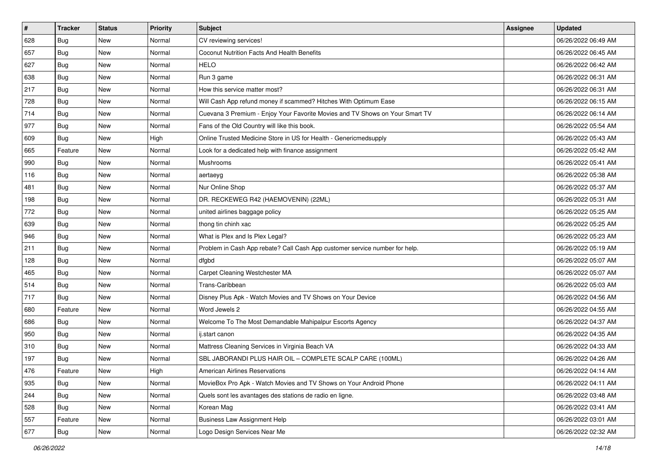| $\sharp$ | <b>Tracker</b> | <b>Status</b> | <b>Priority</b> | <b>Subject</b>                                                               | <b>Assignee</b> | <b>Updated</b>      |
|----------|----------------|---------------|-----------------|------------------------------------------------------------------------------|-----------------|---------------------|
| 628      | Bug            | New           | Normal          | CV reviewing services!                                                       |                 | 06/26/2022 06:49 AM |
| 657      | Bug            | <b>New</b>    | Normal          | Coconut Nutrition Facts And Health Benefits                                  |                 | 06/26/2022 06:45 AM |
| 627      | Bug            | New           | Normal          | <b>HELO</b>                                                                  |                 | 06/26/2022 06:42 AM |
| 638      | Bug            | New           | Normal          | Run 3 game                                                                   |                 | 06/26/2022 06:31 AM |
| 217      | <b>Bug</b>     | <b>New</b>    | Normal          | How this service matter most?                                                |                 | 06/26/2022 06:31 AM |
| 728      | Bug            | New           | Normal          | Will Cash App refund money if scammed? Hitches With Optimum Ease             |                 | 06/26/2022 06:15 AM |
| 714      | Bug            | <b>New</b>    | Normal          | Cuevana 3 Premium - Enjoy Your Favorite Movies and TV Shows on Your Smart TV |                 | 06/26/2022 06:14 AM |
| 977      | <b>Bug</b>     | New           | Normal          | Fans of the Old Country will like this book.                                 |                 | 06/26/2022 05:54 AM |
| 609      | Bug            | <b>New</b>    | High            | Online Trusted Medicine Store in US for Health - Genericmedsupply            |                 | 06/26/2022 05:43 AM |
| 665      | Feature        | <b>New</b>    | Normal          | Look for a dedicated help with finance assignment                            |                 | 06/26/2022 05:42 AM |
| 990      | <b>Bug</b>     | New           | Normal          | Mushrooms                                                                    |                 | 06/26/2022 05:41 AM |
| 116      | Bug            | New           | Normal          | aertaeyg                                                                     |                 | 06/26/2022 05:38 AM |
| 481      | <b>Bug</b>     | New           | Normal          | Nur Online Shop                                                              |                 | 06/26/2022 05:37 AM |
| 198      | Bug            | <b>New</b>    | Normal          | DR. RECKEWEG R42 (HAEMOVENIN) (22ML)                                         |                 | 06/26/2022 05:31 AM |
| 772      | Bug            | New           | Normal          | united airlines baggage policy                                               |                 | 06/26/2022 05:25 AM |
| 639      | Bug            | New           | Normal          | thong tin chinh xac                                                          |                 | 06/26/2022 05:25 AM |
| 946      | Bug            | New           | Normal          | What is Plex and Is Plex Legal?                                              |                 | 06/26/2022 05:23 AM |
| 211      | <b>Bug</b>     | <b>New</b>    | Normal          | Problem in Cash App rebate? Call Cash App customer service number for help.  |                 | 06/26/2022 05:19 AM |
| 128      | Bug            | New           | Normal          | dfgbd                                                                        |                 | 06/26/2022 05:07 AM |
| 465      | Bug            | New           | Normal          | Carpet Cleaning Westchester MA                                               |                 | 06/26/2022 05:07 AM |
| 514      | <b>Bug</b>     | New           | Normal          | Trans-Caribbean                                                              |                 | 06/26/2022 05:03 AM |
| 717      | Bug            | <b>New</b>    | Normal          | Disney Plus Apk - Watch Movies and TV Shows on Your Device                   |                 | 06/26/2022 04:56 AM |
| 680      | Feature        | <b>New</b>    | Normal          | Word Jewels 2                                                                |                 | 06/26/2022 04:55 AM |
| 686      | <b>Bug</b>     | New           | Normal          | Welcome To The Most Demandable Mahipalpur Escorts Agency                     |                 | 06/26/2022 04:37 AM |
| 950      | Bug            | New           | Normal          | ij.start canon                                                               |                 | 06/26/2022 04:35 AM |
| 310      | Bug            | New           | Normal          | Mattress Cleaning Services in Virginia Beach VA                              |                 | 06/26/2022 04:33 AM |
| 197      | Bug            | New           | Normal          | SBL JABORANDI PLUS HAIR OIL - COMPLETE SCALP CARE (100ML)                    |                 | 06/26/2022 04:26 AM |
| 476      | Feature        | New           | High            | American Airlines Reservations                                               |                 | 06/26/2022 04:14 AM |
| 935      | Bug            | New           | Normal          | MovieBox Pro Apk - Watch Movies and TV Shows on Your Android Phone           |                 | 06/26/2022 04:11 AM |
| 244      | Bug            | New           | Normal          | Quels sont les avantages des stations de radio en ligne.                     |                 | 06/26/2022 03:48 AM |
| 528      | Bug            | New           | Normal          | Korean Mag                                                                   |                 | 06/26/2022 03:41 AM |
| 557      | Feature        | New           | Normal          | <b>Business Law Assignment Help</b>                                          |                 | 06/26/2022 03:01 AM |
| 677      | <b>Bug</b>     | New           | Normal          | Logo Design Services Near Me                                                 |                 | 06/26/2022 02:32 AM |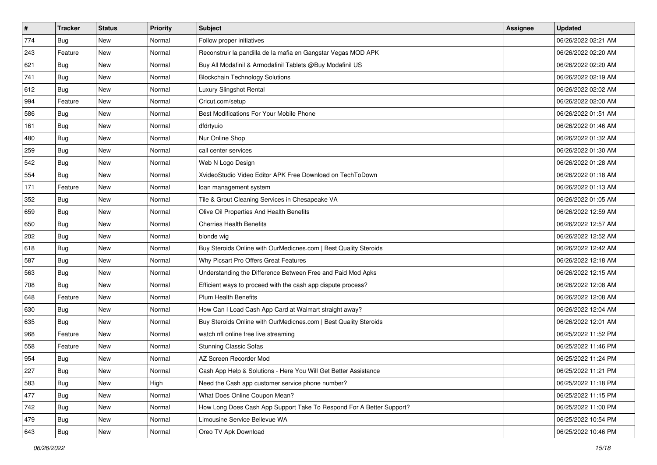| $\sharp$ | <b>Tracker</b> | <b>Status</b> | <b>Priority</b> | <b>Subject</b>                                                       | <b>Assignee</b> | <b>Updated</b>      |
|----------|----------------|---------------|-----------------|----------------------------------------------------------------------|-----------------|---------------------|
| 774      | <b>Bug</b>     | New           | Normal          | Follow proper initiatives                                            |                 | 06/26/2022 02:21 AM |
| 243      | Feature        | <b>New</b>    | Normal          | Reconstruir la pandilla de la mafia en Gangstar Vegas MOD APK        |                 | 06/26/2022 02:20 AM |
| 621      | <b>Bug</b>     | New           | Normal          | Buy All Modafinil & Armodafinil Tablets @Buy Modafinil US            |                 | 06/26/2022 02:20 AM |
| 741      | <b>Bug</b>     | New           | Normal          | <b>Blockchain Technology Solutions</b>                               |                 | 06/26/2022 02:19 AM |
| 612      | <b>Bug</b>     | <b>New</b>    | Normal          | Luxury Slingshot Rental                                              |                 | 06/26/2022 02:02 AM |
| 994      | Feature        | New           | Normal          | Cricut.com/setup                                                     |                 | 06/26/2022 02:00 AM |
| 586      | Bug            | <b>New</b>    | Normal          | Best Modifications For Your Mobile Phone                             |                 | 06/26/2022 01:51 AM |
| 161      | <b>Bug</b>     | New           | Normal          | dfdrtyuio                                                            |                 | 06/26/2022 01:46 AM |
| 480      | Bug            | New           | Normal          | Nur Online Shop                                                      |                 | 06/26/2022 01:32 AM |
| 259      | Bug            | <b>New</b>    | Normal          | call center services                                                 |                 | 06/26/2022 01:30 AM |
| 542      | Bug            | New           | Normal          | Web N Logo Design                                                    |                 | 06/26/2022 01:28 AM |
| 554      | Bug            | New           | Normal          | XvideoStudio Video Editor APK Free Download on TechToDown            |                 | 06/26/2022 01:18 AM |
| 171      | Feature        | New           | Normal          | loan management system                                               |                 | 06/26/2022 01:13 AM |
| 352      | <b>Bug</b>     | New           | Normal          | Tile & Grout Cleaning Services in Chesapeake VA                      |                 | 06/26/2022 01:05 AM |
| 659      | Bug            | <b>New</b>    | Normal          | Olive Oil Properties And Health Benefits                             |                 | 06/26/2022 12:59 AM |
| 650      | Bug            | New           | Normal          | <b>Cherries Health Benefits</b>                                      |                 | 06/26/2022 12:57 AM |
| 202      | Bug            | New           | Normal          | blonde wig                                                           |                 | 06/26/2022 12:52 AM |
| 618      | <b>Bug</b>     | <b>New</b>    | Normal          | Buy Steroids Online with OurMedicnes.com   Best Quality Steroids     |                 | 06/26/2022 12:42 AM |
| 587      | Bug            | New           | Normal          | Why Picsart Pro Offers Great Features                                |                 | 06/26/2022 12:18 AM |
| 563      | Bug            | New           | Normal          | Understanding the Difference Between Free and Paid Mod Apks          |                 | 06/26/2022 12:15 AM |
| 708      | <b>Bug</b>     | New           | Normal          | Efficient ways to proceed with the cash app dispute process?         |                 | 06/26/2022 12:08 AM |
| 648      | Feature        | New           | Normal          | <b>Plum Health Benefits</b>                                          |                 | 06/26/2022 12:08 AM |
| 630      | Bug            | <b>New</b>    | Normal          | How Can I Load Cash App Card at Walmart straight away?               |                 | 06/26/2022 12:04 AM |
| 635      | Bug            | New           | Normal          | Buy Steroids Online with OurMedicnes.com   Best Quality Steroids     |                 | 06/26/2022 12:01 AM |
| 968      | Feature        | New           | Normal          | watch nfl online free live streaming                                 |                 | 06/25/2022 11:52 PM |
| 558      | Feature        | New           | Normal          | <b>Stunning Classic Sofas</b>                                        |                 | 06/25/2022 11:46 PM |
| 954      | <b>Bug</b>     | New           | Normal          | AZ Screen Recorder Mod                                               |                 | 06/25/2022 11:24 PM |
| 227      | <b>Bug</b>     | New           | Normal          | Cash App Help & Solutions - Here You Will Get Better Assistance      |                 | 06/25/2022 11:21 PM |
| 583      | <b>Bug</b>     | New           | High            | Need the Cash app customer service phone number?                     |                 | 06/25/2022 11:18 PM |
| 477      | <b>Bug</b>     | New           | Normal          | What Does Online Coupon Mean?                                        |                 | 06/25/2022 11:15 PM |
| 742      | <b>Bug</b>     | New           | Normal          | How Long Does Cash App Support Take To Respond For A Better Support? |                 | 06/25/2022 11:00 PM |
| 479      | Bug            | New           | Normal          | Limousine Service Bellevue WA                                        |                 | 06/25/2022 10:54 PM |
| 643      | <b>Bug</b>     | New           | Normal          | Oreo TV Apk Download                                                 |                 | 06/25/2022 10:46 PM |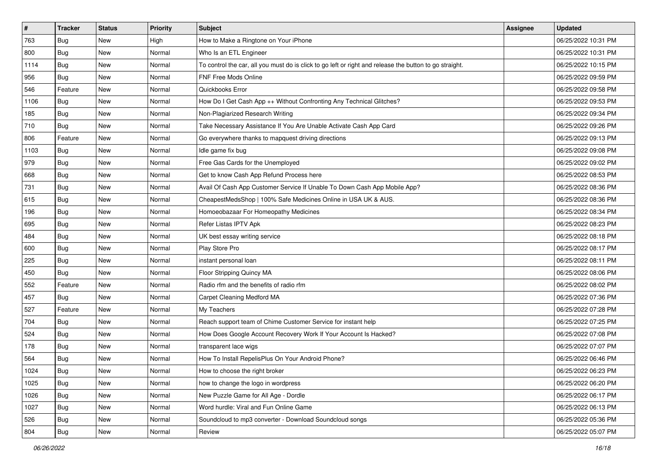| #    | <b>Tracker</b> | <b>Status</b> | <b>Priority</b> | <b>Subject</b>                                                                                          | <b>Assignee</b> | <b>Updated</b>      |
|------|----------------|---------------|-----------------|---------------------------------------------------------------------------------------------------------|-----------------|---------------------|
| 763  | Bug            | New           | High            | How to Make a Ringtone on Your iPhone                                                                   |                 | 06/25/2022 10:31 PM |
| 800  | Bug            | New           | Normal          | Who Is an ETL Engineer                                                                                  |                 | 06/25/2022 10:31 PM |
| 1114 | Bug            | New           | Normal          | To control the car, all you must do is click to go left or right and release the button to go straight. |                 | 06/25/2022 10:15 PM |
| 956  | Bug            | <b>New</b>    | Normal          | FNF Free Mods Online                                                                                    |                 | 06/25/2022 09:59 PM |
| 546  | Feature        | New           | Normal          | Quickbooks Error                                                                                        |                 | 06/25/2022 09:58 PM |
| 1106 | Bug            | New           | Normal          | How Do I Get Cash App ++ Without Confronting Any Technical Glitches?                                    |                 | 06/25/2022 09:53 PM |
| 185  | Bug            | New           | Normal          | Non-Plagiarized Research Writing                                                                        |                 | 06/25/2022 09:34 PM |
| 710  | Bug            | New           | Normal          | Take Necessary Assistance If You Are Unable Activate Cash App Card                                      |                 | 06/25/2022 09:26 PM |
| 806  | Feature        | New           | Normal          | Go everywhere thanks to mapquest driving directions                                                     |                 | 06/25/2022 09:13 PM |
| 1103 | Bug            | New           | Normal          | Idle game fix bug                                                                                       |                 | 06/25/2022 09:08 PM |
| 979  | <b>Bug</b>     | New           | Normal          | Free Gas Cards for the Unemployed                                                                       |                 | 06/25/2022 09:02 PM |
| 668  | Bug            | New           | Normal          | Get to know Cash App Refund Process here                                                                |                 | 06/25/2022 08:53 PM |
| 731  | Bug            | New           | Normal          | Avail Of Cash App Customer Service If Unable To Down Cash App Mobile App?                               |                 | 06/25/2022 08:36 PM |
| 615  | Bug            | New           | Normal          | CheapestMedsShop   100% Safe Medicines Online in USA UK & AUS.                                          |                 | 06/25/2022 08:36 PM |
| 196  | Bug            | New           | Normal          | Homoeobazaar For Homeopathy Medicines                                                                   |                 | 06/25/2022 08:34 PM |
| 695  | Bug            | New           | Normal          | Refer Listas IPTV Apk                                                                                   |                 | 06/25/2022 08:23 PM |
| 484  | <b>Bug</b>     | <b>New</b>    | Normal          | UK best essay writing service                                                                           |                 | 06/25/2022 08:18 PM |
| 600  | Bug            | New           | Normal          | Play Store Pro                                                                                          |                 | 06/25/2022 08:17 PM |
| 225  | Bug            | New           | Normal          | instant personal loan                                                                                   |                 | 06/25/2022 08:11 PM |
| 450  | <b>Bug</b>     | New           | Normal          | Floor Stripping Quincy MA                                                                               |                 | 06/25/2022 08:06 PM |
| 552  | Feature        | New           | Normal          | Radio rfm and the benefits of radio rfm                                                                 |                 | 06/25/2022 08:02 PM |
| 457  | Bug            | New           | Normal          | Carpet Cleaning Medford MA                                                                              |                 | 06/25/2022 07:36 PM |
| 527  | Feature        | <b>New</b>    | Normal          | My Teachers                                                                                             |                 | 06/25/2022 07:28 PM |
| 704  | <b>Bug</b>     | New           | Normal          | Reach support team of Chime Customer Service for instant help                                           |                 | 06/25/2022 07:25 PM |
| 524  | Bug            | New           | Normal          | How Does Google Account Recovery Work If Your Account Is Hacked?                                        |                 | 06/25/2022 07:08 PM |
| 178  | <b>Bug</b>     | New           | Normal          | transparent lace wigs                                                                                   |                 | 06/25/2022 07:07 PM |
| 564  | Bug            | New           | Normal          | How To Install RepelisPlus On Your Android Phone?                                                       |                 | 06/25/2022 06:46 PM |
| 1024 | <b>Bug</b>     | New           | Normal          | How to choose the right broker                                                                          |                 | 06/25/2022 06:23 PM |
| 1025 | <b>Bug</b>     | New           | Normal          | how to change the logo in wordpress                                                                     |                 | 06/25/2022 06:20 PM |
| 1026 | <b>Bug</b>     | New           | Normal          | New Puzzle Game for All Age - Dordle                                                                    |                 | 06/25/2022 06:17 PM |
| 1027 | Bug            | New           | Normal          | Word hurdle: Viral and Fun Online Game                                                                  |                 | 06/25/2022 06:13 PM |
| 526  | Bug            | New           | Normal          | Soundcloud to mp3 converter - Download Soundcloud songs                                                 |                 | 06/25/2022 05:36 PM |
| 804  | <b>Bug</b>     | New           | Normal          | Review                                                                                                  |                 | 06/25/2022 05:07 PM |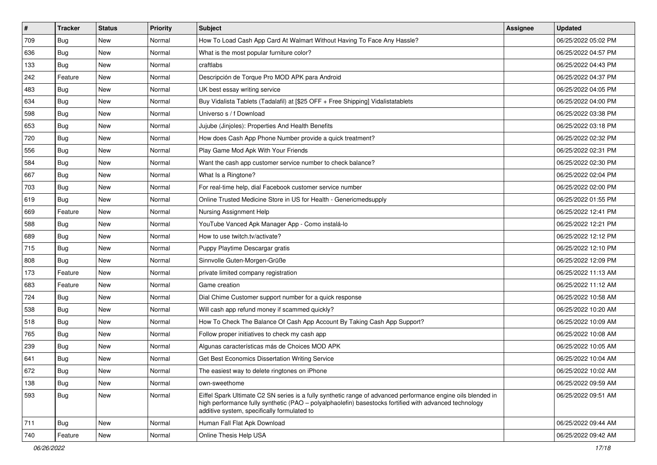| #   | <b>Tracker</b> | <b>Status</b> | <b>Priority</b> | <b>Subject</b>                                                                                                                                                                                                                                                        | <b>Assignee</b> | <b>Updated</b>      |
|-----|----------------|---------------|-----------------|-----------------------------------------------------------------------------------------------------------------------------------------------------------------------------------------------------------------------------------------------------------------------|-----------------|---------------------|
| 709 | Bug            | New           | Normal          | How To Load Cash App Card At Walmart Without Having To Face Any Hassle?                                                                                                                                                                                               |                 | 06/25/2022 05:02 PM |
| 636 | Bug            | New           | Normal          | What is the most popular furniture color?                                                                                                                                                                                                                             |                 | 06/25/2022 04:57 PM |
| 133 | Bug            | New           | Normal          | craftlabs                                                                                                                                                                                                                                                             |                 | 06/25/2022 04:43 PM |
| 242 | Feature        | New           | Normal          | Descripción de Torque Pro MOD APK para Android                                                                                                                                                                                                                        |                 | 06/25/2022 04:37 PM |
| 483 | Bug            | New           | Normal          | UK best essay writing service                                                                                                                                                                                                                                         |                 | 06/25/2022 04:05 PM |
| 634 | Bug            | New           | Normal          | Buy Vidalista Tablets (Tadalafil) at [\$25 OFF + Free Shipping] Vidalistatablets                                                                                                                                                                                      |                 | 06/25/2022 04:00 PM |
| 598 | Bug            | New           | Normal          | Universo s / f Download                                                                                                                                                                                                                                               |                 | 06/25/2022 03:38 PM |
| 653 | Bug            | New           | Normal          | Jujube (Jinjoles): Properties And Health Benefits                                                                                                                                                                                                                     |                 | 06/25/2022 03:18 PM |
| 720 | Bug            | New           | Normal          | How does Cash App Phone Number provide a quick treatment?                                                                                                                                                                                                             |                 | 06/25/2022 02:32 PM |
| 556 | Bug            | <b>New</b>    | Normal          | Play Game Mod Apk With Your Friends                                                                                                                                                                                                                                   |                 | 06/25/2022 02:31 PM |
| 584 | Bug            | New           | Normal          | Want the cash app customer service number to check balance?                                                                                                                                                                                                           |                 | 06/25/2022 02:30 PM |
| 667 | Bug            | New           | Normal          | What Is a Ringtone?                                                                                                                                                                                                                                                   |                 | 06/25/2022 02:04 PM |
| 703 | Bug            | New           | Normal          | For real-time help, dial Facebook customer service number                                                                                                                                                                                                             |                 | 06/25/2022 02:00 PM |
| 619 | Bug            | New           | Normal          | Online Trusted Medicine Store in US for Health - Genericmedsupply                                                                                                                                                                                                     |                 | 06/25/2022 01:55 PM |
| 669 | Feature        | New           | Normal          | Nursing Assignment Help                                                                                                                                                                                                                                               |                 | 06/25/2022 12:41 PM |
| 588 | <b>Bug</b>     | New           | Normal          | YouTube Vanced Apk Manager App - Como instalá-lo                                                                                                                                                                                                                      |                 | 06/25/2022 12:21 PM |
| 689 | Bug            | New           | Normal          | How to use twitch.tv/activate?                                                                                                                                                                                                                                        |                 | 06/25/2022 12:12 PM |
| 715 | Bug            | New           | Normal          | Puppy Playtime Descargar gratis                                                                                                                                                                                                                                       |                 | 06/25/2022 12:10 PM |
| 808 | <b>Bug</b>     | New           | Normal          | Sinnvolle Guten-Morgen-Grüße                                                                                                                                                                                                                                          |                 | 06/25/2022 12:09 PM |
| 173 | Feature        | New           | Normal          | private limited company registration                                                                                                                                                                                                                                  |                 | 06/25/2022 11:13 AM |
| 683 | Feature        | New           | Normal          | Game creation                                                                                                                                                                                                                                                         |                 | 06/25/2022 11:12 AM |
| 724 | Bug            | New           | Normal          | Dial Chime Customer support number for a quick response                                                                                                                                                                                                               |                 | 06/25/2022 10:58 AM |
| 538 | Bug            | New           | Normal          | Will cash app refund money if scammed quickly?                                                                                                                                                                                                                        |                 | 06/25/2022 10:20 AM |
| 518 | <b>Bug</b>     | New           | Normal          | How To Check The Balance Of Cash App Account By Taking Cash App Support?                                                                                                                                                                                              |                 | 06/25/2022 10:09 AM |
| 765 | Bug            | New           | Normal          | Follow proper initiatives to check my cash app                                                                                                                                                                                                                        |                 | 06/25/2022 10:08 AM |
| 239 | Bug            | New           | Normal          | Algunas características más de Choices MOD APK                                                                                                                                                                                                                        |                 | 06/25/2022 10:05 AM |
| 641 | Bug            | New           | Normal          | Get Best Economics Dissertation Writing Service                                                                                                                                                                                                                       |                 | 06/25/2022 10:04 AM |
| 672 | <b>Bug</b>     | New           | Normal          | The easiest way to delete ringtones on iPhone                                                                                                                                                                                                                         |                 | 06/25/2022 10:02 AM |
| 138 | Bug            | New           | Normal          | own-sweethome                                                                                                                                                                                                                                                         |                 | 06/25/2022 09:59 AM |
| 593 | <b>Bug</b>     | New           | Normal          | Eiffel Spark Ultimate C2 SN series is a fully synthetic range of advanced performance engine oils blended in<br>high performance fully synthetic (PAO - polyalphaolefin) basestocks fortified with advanced technology<br>additive system, specifically formulated to |                 | 06/25/2022 09:51 AM |
| 711 | <b>Bug</b>     | New           | Normal          | Human Fall Flat Apk Download                                                                                                                                                                                                                                          |                 | 06/25/2022 09:44 AM |
| 740 | Feature        | New           | Normal          | Online Thesis Help USA                                                                                                                                                                                                                                                |                 | 06/25/2022 09:42 AM |